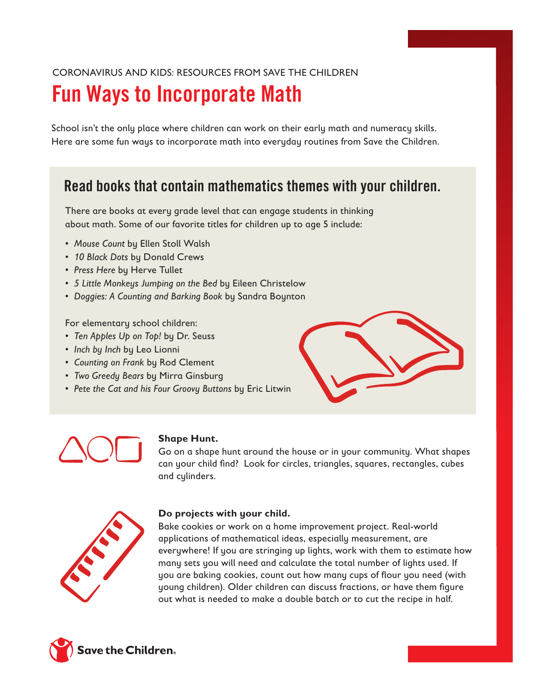## CORONAVIRUS AND KIDS: RESOURCES FROM SAVE THE CHILDREN

# Fun Ways to Incorporate Math

School isn't the only place where children can work on their early math and numeracy skills. Here are some fun ways to incorporate math into everyday routines from Save the Children.

# Read books that contain mathematics themes with your children.

There are books at every grade level that can engage students in thinking about math. Some of our favorite titles for children up to age 5 include:

- *Mouse Count* by Ellen Stoll Walsh
- *10 Black Dots* by Donald Crews
- *Press Here* by Herve Tullet
- *5 Little Monkeys Jumping on the Bed* by Eileen Christelow
- *Doggies: A Counting and Barking Book* by Sandra Boynton

For elementary school children:

- *Ten Apples Up on Top!* by Dr. Seuss
- *Inch by Inch* by Leo Lionni
- *Counting on Frank* by Rod Clement
- *Two Greedy Bears* by Mirra Ginsburg
- *Pete the Cat and his Four Groovy Buttons* by Eric Litwin





### **Shape Hunt.**

Go on a shape hunt around the house or in your community. What shapes can your child find? Look for circles, triangles, squares, rectangles, cubes and cylinders.



### **Do projects with your child.**

Bake cookies or work on a home improvement project. Real-world applications of mathematical ideas, especially measurement, are everywhere! If you are stringing up lights, work with them to estimate how many sets you will need and calculate the total number of lights used. If you are baking cookies, count out how many cups of flour you need (with young children). Older children can discuss fractions, or have them figure out what is needed to make a double batch or to cut the recipe in half.